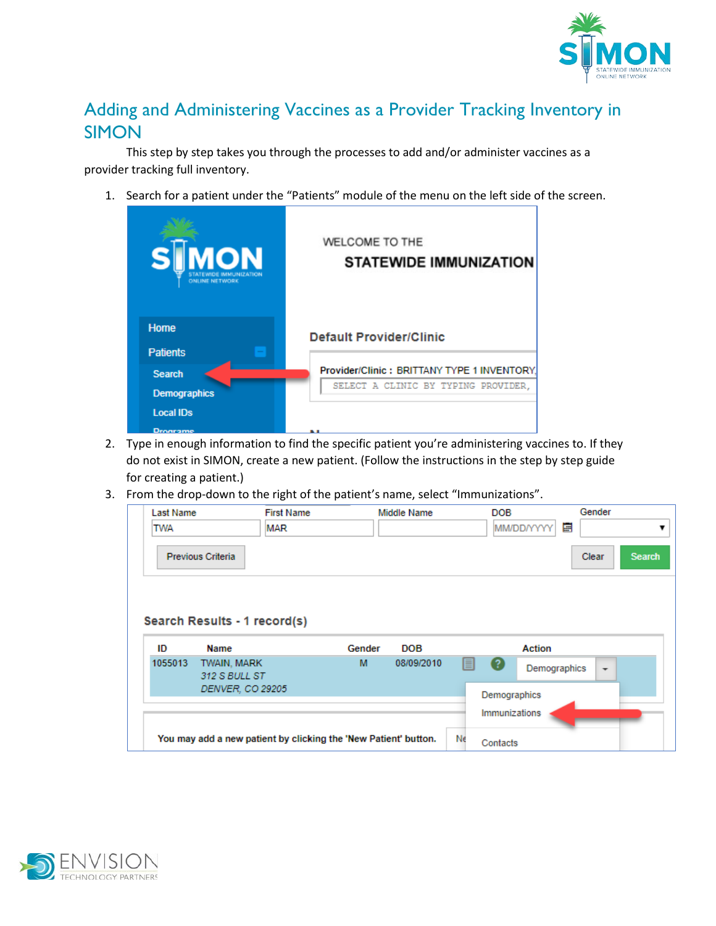

## Adding and Administering Vaccines as a Provider Tracking Inventory in SIMON

This step by step takes you through the processes to add and/or administer vaccines as a provider tracking full inventory.

1. Search for a patient under the "Patients" module of the menu on the left side of the screen.

| <b>IMON</b><br>Sl<br><b>ONLINE NETWORK</b> | WELCOME TO THE<br><b>STATEWIDE IMMUNIZATION</b> |
|--------------------------------------------|-------------------------------------------------|
| Home                                       | <b>Default Provider/Clinic</b>                  |
| <b>Patients</b>                            |                                                 |
| <b>Search</b>                              | Provider/Clinic: BRITTANY TYPE 1 INVENTORY      |
| <b>Demographics</b>                        | SELECT A CLINIC BY TYPING PROVIDER,             |
| <b>Local IDs</b>                           |                                                 |
| <b>Draarame</b>                            | . .                                             |

- 2. Type in enough information to find the specific patient you're administering vaccines to. If they do not exist in SIMON, create a new patient. (Follow the instructions in the step by step guide for creating a patient.)
- 3. From the drop-down to the right of the patient's name, select "Immunizations".

| Last Name | <b>First Name</b>                                               |        | Middle Name |    | <b>DOB</b>        |              | Gender  |               |
|-----------|-----------------------------------------------------------------|--------|-------------|----|-------------------|--------------|---------|---------------|
| TWA       | <b>MAR</b>                                                      |        |             |    | <b>MM/DD/YYYY</b> | 圍            |         |               |
|           | Previous Criteria                                               |        |             |    |                   |              | Clear   | <b>Search</b> |
|           |                                                                 |        |             |    |                   |              |         |               |
|           |                                                                 |        |             |    |                   |              |         |               |
|           |                                                                 |        |             |    |                   |              |         |               |
|           | Search Results - 1 record(s)                                    |        |             |    |                   |              |         |               |
| ID        | <b>Name</b>                                                     | Gender | <b>DOB</b>  |    | <b>Action</b>     |              |         |               |
|           | TWAIN, MARK                                                     | м      | 08/09/2010  | 目  | 【?                | Demographics | $\cdot$ |               |
|           | 312 S BULL ST                                                   |        |             |    |                   |              |         |               |
|           | DENVER, CO 29205                                                |        |             |    | Demographics      |              |         |               |
|           |                                                                 |        |             |    |                   |              |         |               |
|           |                                                                 |        |             |    | Immunizations     |              |         |               |
| 1055013   | You may add a new patient by clicking the 'New Patient' button. |        |             | Ne | Contacts          |              |         |               |

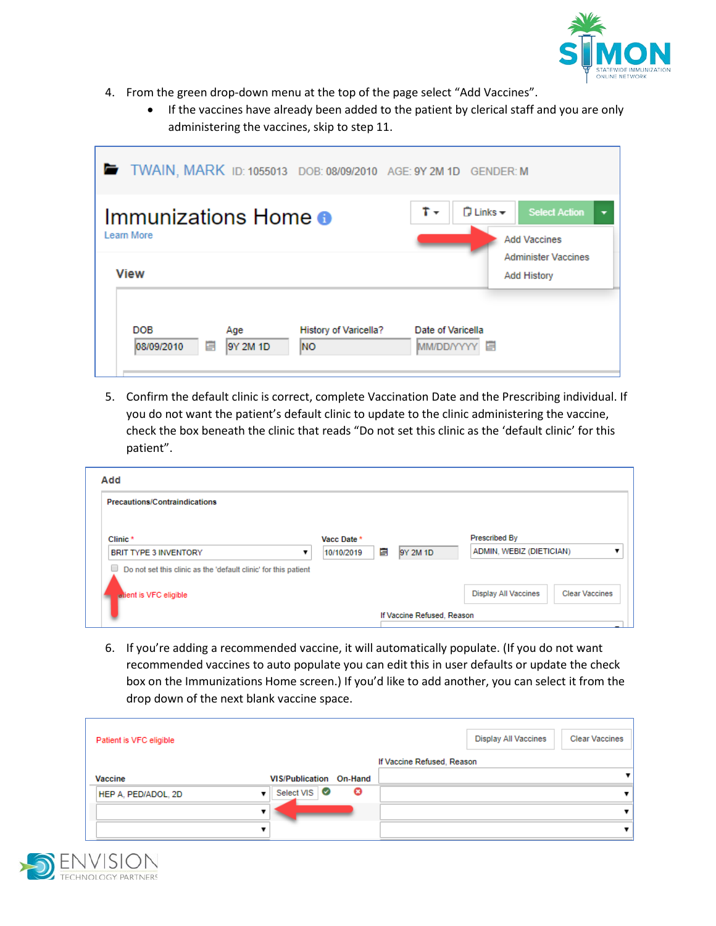

- 4. From the green drop-down menu at the top of the page select "Add Vaccines".
	- If the vaccines have already been added to the patient by clerical staff and you are only administering the vaccines, skip to step 11.

| TWAIN, MARK ID: 1055013 DOB: 08/09/2010 AGE: 9Y 2M 1D GENDER: M                        |                                                                                                                                    |
|----------------------------------------------------------------------------------------|------------------------------------------------------------------------------------------------------------------------------------|
| Immunizations Home <b>o</b><br>Learn More<br><b>View</b>                               | t +<br>$\Box$ Links $\sim$<br><b>Select Action</b><br>٠<br><b>Add Vaccines</b><br><b>Administer Vaccines</b><br><b>Add History</b> |
| <b>DOB</b><br>History of Varicella?<br>Age<br>冒<br>08/09/2010<br>9Y 2M 1D<br><b>NO</b> | Date of Varicella<br>MM/DD/YYYY<br>E                                                                                               |

5. Confirm the default clinic is correct, complete Vaccination Date and the Prescribing individual. If you do not want the patient's default clinic to update to the clinic administering the vaccine, check the box beneath the clinic that reads "Do not set this clinic as the 'default clinic' for this patient".

| <b>Precautions/Contraindications</b>                                 |                           |   |          |                                                      |
|----------------------------------------------------------------------|---------------------------|---|----------|------------------------------------------------------|
| Clinic*<br><b>BRIT TYPE 3 INVENTORY</b><br>▼                         | Vacc Date *<br>10/10/2019 | E | 9Y 2M 1D | <b>Prescribed By</b><br>ADMIN, WEBIZ (DIETICIAN)     |
| ∪<br>Do not set this clinic as the 'default clinic' for this patient |                           |   |          |                                                      |
| atient is VFC eligible                                               |                           |   |          | <b>Display All Vaccines</b><br><b>Clear Vaccines</b> |

6. If you're adding a recommended vaccine, it will automatically populate. (If you do not want recommended vaccines to auto populate you can edit this in user defaults or update the check box on the Immunizations Home screen.) If you'd like to add another, you can select it from the drop down of the next blank vaccine space.

| Patient is VFC eligible |                                |   |                            | <b>Display All Vaccines</b> | <b>Clear Vaccines</b> |
|-------------------------|--------------------------------|---|----------------------------|-----------------------------|-----------------------|
|                         |                                |   | If Vaccine Refused, Reason |                             |                       |
| Vaccine                 | <b>VIS/Publication On-Hand</b> |   |                            |                             |                       |
| HEP A, PED/ADOL, 2D     | Select VIS <b>⊘</b>            | ø |                            |                             |                       |
|                         |                                |   |                            |                             |                       |
|                         |                                |   |                            |                             |                       |

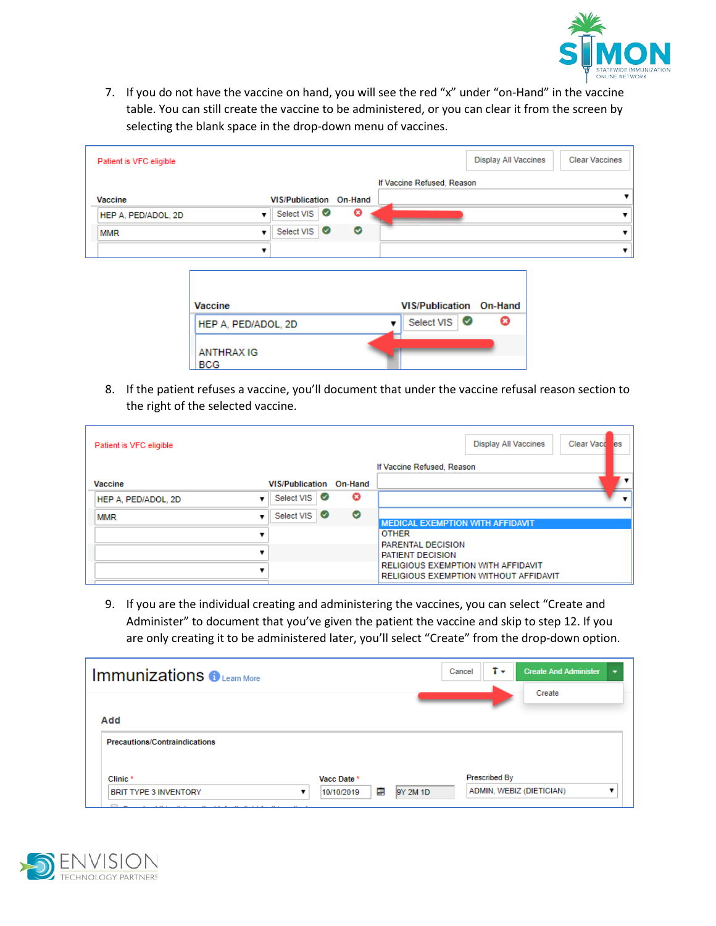

7. If you do not have the vaccine on hand, you will see the red "x" under "on-Hand" in the vaccine table. You can still create the vaccine to be administered, or you can clear it from the screen by selecting the blank space in the drop-down menu of vaccines.

| Patient is VFC eligible |                                |   |                            | <b>Display All Vaccines</b> | <b>Clear Vaccines</b> |
|-------------------------|--------------------------------|---|----------------------------|-----------------------------|-----------------------|
|                         |                                |   | If Vaccine Refused, Reason |                             |                       |
| Vaccine                 | <b>VIS/Publication On-Hand</b> |   |                            |                             |                       |
| HEP A. PED/ADOL, 2D     | Select VIS <b>⊘</b>            | ø |                            |                             |                       |
| <b>MMR</b>              | Select VIS <sup>O</sup>        | Ø |                            |                             |                       |
|                         |                                |   |                            |                             |                       |



8. If the patient refuses a vaccine, you'll document that under the vaccine refusal reason section to the right of the selected vaccine.

| Patient is VFC eligible |                                |   | <b>Display All Vaccines</b>                                                        | <b>Clear Vacd</b><br>lles |  |
|-------------------------|--------------------------------|---|------------------------------------------------------------------------------------|---------------------------|--|
|                         |                                |   | If Vaccine Refused, Reason                                                         |                           |  |
| Vaccine                 | <b>VIS/Publication On-Hand</b> |   |                                                                                    |                           |  |
| HEP A. PED/ADOL, 2D     | Select VIS <b>⊘</b>            | ø |                                                                                    |                           |  |
| <b>MMR</b>              | Select VIS   <b>◎</b>          | ಿ | <b>MEDICAL EXEMPTION WITH AFFIDAVIT</b>                                            |                           |  |
|                         |                                |   | <b>OTHER</b>                                                                       |                           |  |
|                         |                                |   | <b>PARENTAL DECISION</b><br><b>PATIENT DECISION</b>                                |                           |  |
|                         |                                |   | <b>RELIGIOUS EXEMPTION WITH AFFIDAVIT</b><br>RELIGIOUS EXEMPTION WITHOUT AFFIDAVIT |                           |  |

9. If you are the individual creating and administering the vaccines, you can select "Create and Administer" to document that you've given the patient the vaccine and skip to step 12. If you are only creating it to be administered later, you'll select "Create" from the drop-down option.

| Immunizations $\bigoplus_{\text{Learn More}}$                                                                                               |                           |               | Ť۳<br>Cancel         | <b>Create And Administer</b><br>÷ |
|---------------------------------------------------------------------------------------------------------------------------------------------|---------------------------|---------------|----------------------|-----------------------------------|
|                                                                                                                                             |                           |               |                      | Create                            |
| Add<br><b>Precautions/Contraindications</b>                                                                                                 |                           |               |                      |                                   |
|                                                                                                                                             |                           |               |                      |                                   |
| Clinic*<br><b>BRIT TYPE 3 INVENTORY</b>                                                                                                     | Vacc Date *<br>10/10/2019 | 目<br>9Y 2M 1D | <b>Prescribed By</b> | ADMIN, WEBIZ (DIETICIAN)          |
| $\overline{\phantom{a}}$<br>the contract of the contract of the contract of the contract of the contract of the contract of the contract of |                           |               |                      |                                   |

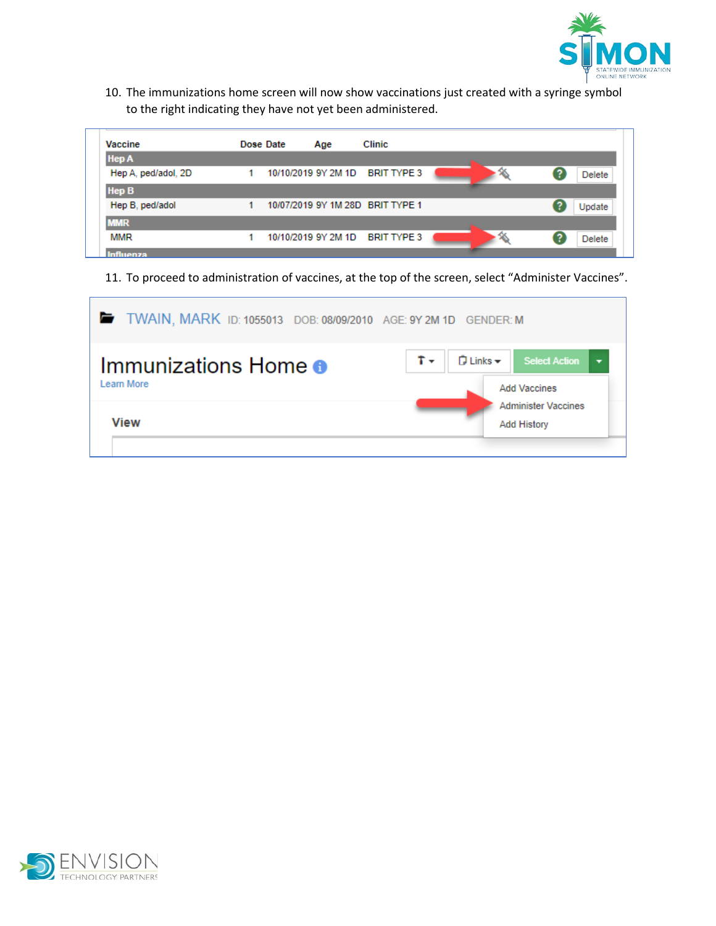

10. The immunizations home screen will now show vaccinations just created with a syringe symbol to the right indicating they have not yet been administered.

| Vaccine             | Dose Date | Age | <b>Clinic</b>                    |  |        |
|---------------------|-----------|-----|----------------------------------|--|--------|
| <b>Hep A</b>        |           |     |                                  |  |        |
| Hep A, ped/adol, 2D |           |     | 10/10/2019 9Y 2M 1D BRIT TYPE 3  |  | Delete |
| <b>Hep B</b>        |           |     |                                  |  |        |
| Hep B, ped/adol     |           |     | 10/07/2019 9Y 1M 28D BRIT TYPE 1 |  | Update |
| <b>MMR</b>          |           |     |                                  |  |        |
| MMR                 |           |     | 10/10/2019 9Y 2M 1D BRIT TYPE 3  |  | Delete |
| Influenza           |           |     |                                  |  |        |

11. To proceed to administration of vaccines, at the top of the screen, select "Administer Vaccines".

| TWAIN, MARK ID: 1055013 DOB: 08/09/2010 AGE: 9Y 2M 1D GENDER: M |                                                                                                            |
|-----------------------------------------------------------------|------------------------------------------------------------------------------------------------------------|
| Immunizations Home $\bullet$<br>Learn More                      | $\hat{\mathsf{D}}$ Links $\blacktriangleright$<br>Select Action $\rightarrow$<br>t.<br><b>Add Vaccines</b> |
| View                                                            | <b>Administer Vaccines</b><br><b>Add History</b>                                                           |

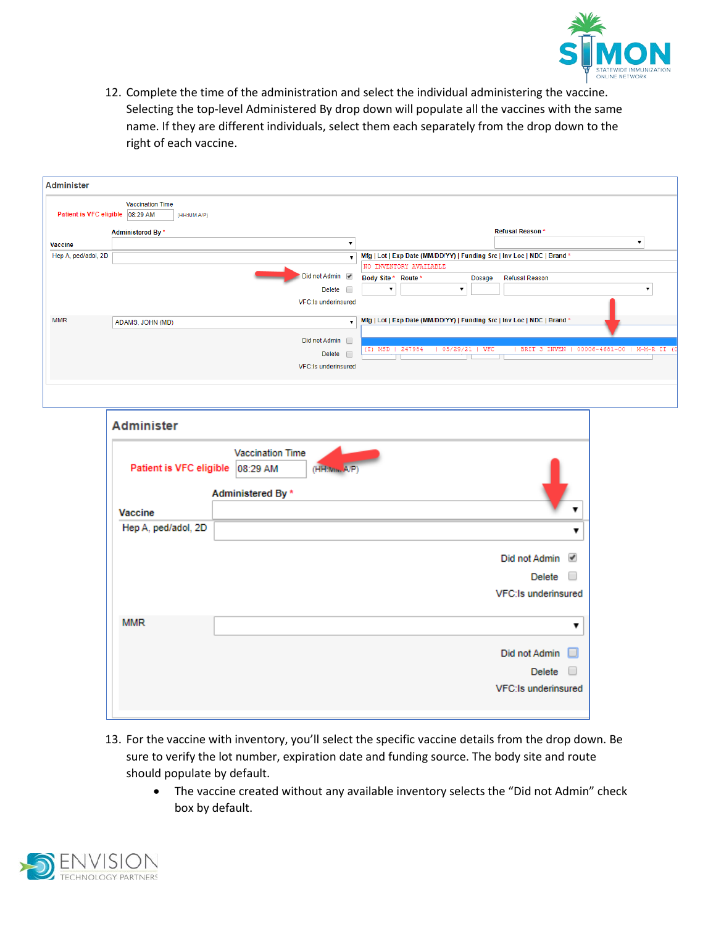

12. Complete the time of the administration and select the individual administering the vaccine. Selecting the top-level Administered By drop down will populate all the vaccines with the same name. If they are different individuals, select them each separately from the drop down to the right of each vaccine.

| <b>Administer</b>                 |                                        |                         |                                                                         |                       |                             |
|-----------------------------------|----------------------------------------|-------------------------|-------------------------------------------------------------------------|-----------------------|-----------------------------|
| Patient is VFC eligible  08:29 AM | <b>Vaccination Time</b><br>(HH:MM A/P) |                         |                                                                         |                       |                             |
|                                   | Administered By*                       |                         |                                                                         | Refusal Reason*       |                             |
| <b>Vaccine</b>                    |                                        |                         |                                                                         |                       | $\overline{\mathbf{v}}$     |
| Hep A, ped/adol, 2D               |                                        | $\mathbf{v}$            | Mfg   Lot   Exp Date (MM/DD/YY)   Funding Src   Inv Loc   NDC   Brand * |                       |                             |
|                                   |                                        |                         | NO INVENTORY AVAILABLE                                                  |                       |                             |
|                                   |                                        | Did not Admin V         | Body Site * Route *<br>Dosage                                           | <b>Refusal Reason</b> |                             |
|                                   |                                        | <b>Delete</b><br>$\Box$ | $\overline{\mathbf{v}}$                                                 |                       |                             |
|                                   |                                        | VFC:Is underinsured     |                                                                         |                       |                             |
| <b>MMR</b>                        | ADAMS, JOHN (MD)                       | $\mathbf{v}$            | Mfg   Lot   Exp Date (MM/DD/YY)   Funding Src   Inv Loc   NDC   Brand * |                       |                             |
|                                   |                                        |                         |                                                                         |                       |                             |
|                                   |                                        | Did not Admin and       |                                                                         |                       |                             |
|                                   |                                        | Delete<br>$\Box$        | 247984<br>MSD<br><b>VFC</b><br>05/29/21<br>$(\mathbb{I})$               | BRIT 3 INVEN          | 00006-4681-00   M-M-R II (0 |
|                                   |                                        | VFC:ls underinsured     |                                                                         |                       |                             |
|                                   |                                        |                         |                                                                         |                       |                             |
|                                   |                                        |                         |                                                                         |                       |                             |
|                                   |                                        |                         |                                                                         |                       |                             |

| <b>Administer</b>                |                                          |                                |
|----------------------------------|------------------------------------------|--------------------------------|
| Patient is VFC eligible 08:29 AM | <b>Vaccination Time</b><br>(HH:Nim, A/P) |                                |
|                                  | Administered By *                        |                                |
| Vaccine                          |                                          |                                |
| Hep A, ped/adol, 2D              |                                          | $\blacktriangledown$           |
|                                  |                                          | Did not Admin<br>$\mathcal{A}$ |
|                                  |                                          | Delete                         |
|                                  |                                          | <b>VFC:Is underinsured</b>     |
| <b>MMR</b>                       |                                          | ▼                              |
|                                  |                                          | Did not Admin                  |
|                                  |                                          | <b>Delete</b>                  |
|                                  |                                          | <b>VFC:Is underinsured</b>     |
|                                  |                                          |                                |

- 13. For the vaccine with inventory, you'll select the specific vaccine details from the drop down. Be sure to verify the lot number, expiration date and funding source. The body site and route should populate by default.
	- The vaccine created without any available inventory selects the "Did not Admin" check box by default.

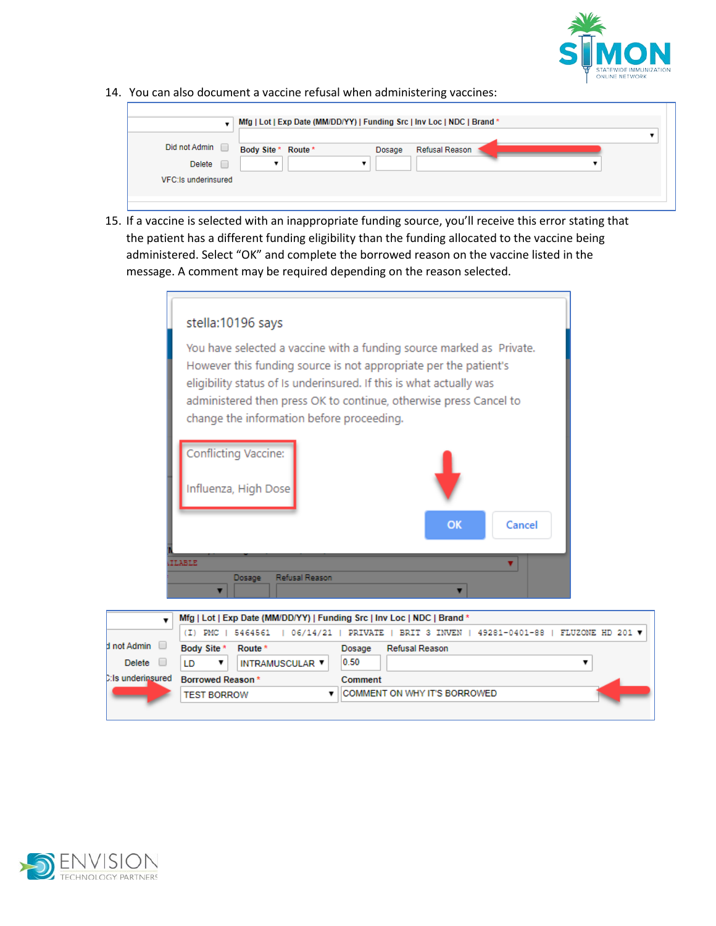

14. You can also document a vaccine refusal when administering vaccines:

Ē

| Did not Admin and          | Body Site * Route * | Dosage | Refusal Reason |  |
|----------------------------|---------------------|--------|----------------|--|
| Delete                     |                     |        |                |  |
| <b>VFC:Is underinsured</b> |                     |        |                |  |

15. If a vaccine is selected with an inappropriate funding source, you'll receive this error stating that the patient has a different funding eligibility than the funding allocated to the vaccine being administered. Select "OK" and complete the borrowed reason on the vaccine listed in the message. A comment may be required depending on the reason selected.

|                 | stella:10196 says                                                                                                                                                                                                                                                                                                                 |                  |
|-----------------|-----------------------------------------------------------------------------------------------------------------------------------------------------------------------------------------------------------------------------------------------------------------------------------------------------------------------------------|------------------|
|                 | You have selected a vaccine with a funding source marked as Private.<br>However this funding source is not appropriate per the patient's<br>eligibility status of Is underinsured. If this is what actually was<br>administered then press OK to continue, otherwise press Cancel to<br>change the information before proceeding. |                  |
|                 | <b>Conflicting Vaccine:</b><br>Influenza, High Dose<br>OK<br>Cancel                                                                                                                                                                                                                                                               |                  |
|                 | <b>TLABLE</b><br>Refusal Reason<br>Dosage                                                                                                                                                                                                                                                                                         |                  |
| $\mathbf{v}$    | Mfg   Lot   Exp Date (MM/DD/YY)   Funding Src   Inv Loc   NDC   Brand *                                                                                                                                                                                                                                                           |                  |
|                 | $(T)$ PMC<br>  06/14/21   PRIVATE   BRIT 3 INVEN   49281-0401-88<br>5464561                                                                                                                                                                                                                                                       | FLUZONE HD 201 V |
| not Admin       | Body Site *<br><b>Refusal Reason</b><br>Route *<br>Dosage                                                                                                                                                                                                                                                                         |                  |
| <b>Delete</b>   | 0.50<br>ID.<br>INTRAMUSCULAR V<br>▼                                                                                                                                                                                                                                                                                               | ▼                |
| Is underinsured | <b>Borrowed Reason*</b><br>Comment<br><b>COMMENT ON WHY IT'S BORROWED</b><br>7                                                                                                                                                                                                                                                    |                  |
|                 | <b>TEST BORROW</b>                                                                                                                                                                                                                                                                                                                |                  |